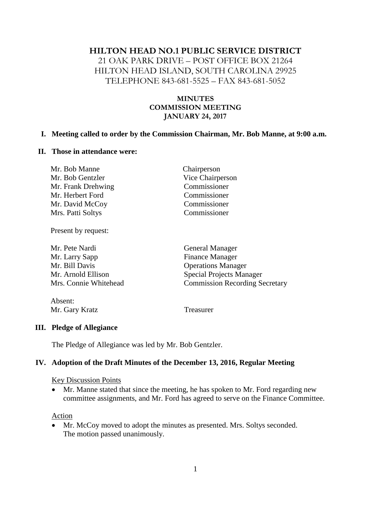#### **HILTON HEAD NO.1 PUBLIC SERVICE DISTRICT**

21 OAK PARK DRIVE – POST OFFICE BOX 21264 HILTON HEAD ISLAND, SOUTH CAROLINA 29925 TELEPHONE 843-681-5525 – FAX 843-681-5052

#### **MINUTES COMMISSION MEETING JANUARY 24, 2017**

#### **I. Meeting called to order by the Commission Chairman, Mr. Bob Manne, at 9:00 a.m.**

#### **II. Those in attendance were:**

| Mr. Bob Manne      | Chairperson      |
|--------------------|------------------|
| Mr. Bob Gentzler   | Vice Chairperson |
| Mr. Frank Drehwing | Commissioner     |
| Mr. Herbert Ford   | Commissioner     |
| Mr. David McCoy    | Commissioner     |
| Mrs. Patti Soltys  | Commissioner     |

Present by request:

| Mr. Pete Nardi        | <b>General Manager</b>                |  |
|-----------------------|---------------------------------------|--|
| Mr. Larry Sapp        | <b>Finance Manager</b>                |  |
| Mr. Bill Davis        | <b>Operations Manager</b>             |  |
| Mr. Arnold Ellison    | <b>Special Projects Manager</b>       |  |
| Mrs. Connie Whitehead | <b>Commission Recording Secretary</b> |  |
|                       |                                       |  |

Absent: Mr. Gary Kratz Treasurer

#### **III. Pledge of Allegiance**

The Pledge of Allegiance was led by Mr. Bob Gentzler.

#### **IV. Adoption of the Draft Minutes of the December 13, 2016, Regular Meeting**

#### Key Discussion Points

 Mr. Manne stated that since the meeting, he has spoken to Mr. Ford regarding new committee assignments, and Mr. Ford has agreed to serve on the Finance Committee.

#### **Action**

 Mr. McCoy moved to adopt the minutes as presented. Mrs. Soltys seconded. The motion passed unanimously.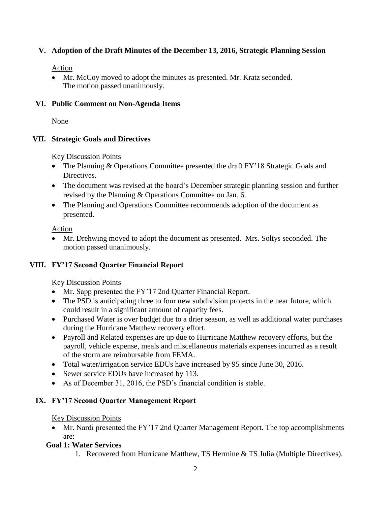# **V. Adoption of the Draft Minutes of the December 13, 2016, Strategic Planning Session**

### Action

• Mr. McCoy moved to adopt the minutes as presented. Mr. Kratz seconded. The motion passed unanimously.

### **VI. Public Comment on Non-Agenda Items**

None

# **VII. Strategic Goals and Directives**

Key Discussion Points

- The Planning & Operations Committee presented the draft FY'18 Strategic Goals and Directives.
- The document was revised at the board's December strategic planning session and further revised by the Planning & Operations Committee on Jan. 6.
- The Planning and Operations Committee recommends adoption of the document as presented.

Action

 Mr. Drehwing moved to adopt the document as presented. Mrs. Soltys seconded. The motion passed unanimously.

# **VIII. FY'17 Second Quarter Financial Report**

# Key Discussion Points

- Mr. Sapp presented the FY'17 2nd Quarter Financial Report.
- The PSD is anticipating three to four new subdivision projects in the near future, which could result in a significant amount of capacity fees.
- Purchased Water is over budget due to a drier season, as well as additional water purchases during the Hurricane Matthew recovery effort.
- Payroll and Related expenses are up due to Hurricane Matthew recovery efforts, but the payroll, vehicle expense, meals and miscellaneous materials expenses incurred as a result of the storm are reimbursable from FEMA.
- Total water/irrigation service EDUs have increased by 95 since June 30, 2016.
- Sewer service EDUs have increased by 113.
- As of December 31, 2016, the PSD's financial condition is stable.

# **IX. FY'17 Second Quarter Management Report**

### Key Discussion Points

• Mr. Nardi presented the FY'17 2nd Quarter Management Report. The top accomplishments are:

# **Goal 1: Water Services**

1. Recovered from Hurricane Matthew, TS Hermine & TS Julia (Multiple Directives).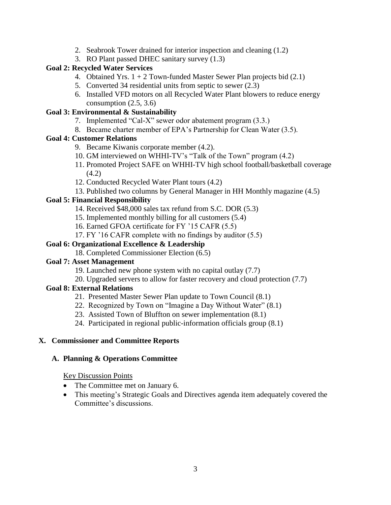- 2. Seabrook Tower drained for interior inspection and cleaning (1.2)
- 3. RO Plant passed DHEC sanitary survey (1.3)

### **Goal 2: Recycled Water Services**

- 4. Obtained Yrs.  $1 + 2$  Town-funded Master Sewer Plan projects bid  $(2.1)$
- 5. Converted 34 residential units from septic to sewer (2.3)
- 6. Installed VFD motors on all Recycled Water Plant blowers to reduce energy consumption  $(2.5, 3.6)$

# **Goal 3: Environmental & Sustainability**

- 7. Implemented "Cal-X" sewer odor abatement program (3.3.)
- 8. Became charter member of EPA's Partnership for Clean Water (3.5).

# **Goal 4: Customer Relations**

- 9. Became Kiwanis corporate member (4.2).
- 10. GM interviewed on WHHI-TV's "Talk of the Town" program (4.2)
- 11. Promoted Project SAFE on WHHI-TV high school football/basketball coverage (4.2)
- 12. Conducted Recycled Water Plant tours (4.2)
- 13. Published two columns by General Manager in HH Monthly magazine (4.5)

# **Goal 5: Financial Responsibility**

- 14. Received \$48,000 sales tax refund from S.C. DOR (5.3)
- 15. Implemented monthly billing for all customers (5.4)
- 16. Earned GFOA certificate for FY '15 CAFR (5.5)
- 17. FY '16 CAFR complete with no findings by auditor (5.5)

# **Goal 6: Organizational Excellence & Leadership**

18. Completed Commissioner Election (6.5)

### **Goal 7: Asset Management**

- 19. Launched new phone system with no capital outlay (7.7)
- 20. Upgraded servers to allow for faster recovery and cloud protection (7.7)

# **Goal 8: External Relations**

- 21. Presented Master Sewer Plan update to Town Council (8.1)
- 22. Recognized by Town on "Imagine a Day Without Water" (8.1)
- 23. Assisted Town of Bluffton on sewer implementation (8.1)
- 24. Participated in regional public-information officials group (8.1)

# **X. Commissioner and Committee Reports**

### **A. Planning & Operations Committee**

# Key Discussion Points

- The Committee met on January 6.
- This meeting's Strategic Goals and Directives agenda item adequately covered the Committee's discussions.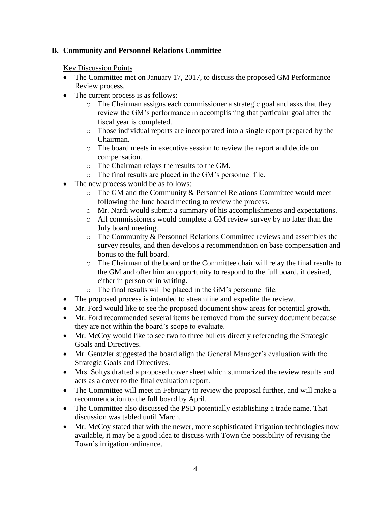### **B. Community and Personnel Relations Committee**

Key Discussion Points

- The Committee met on January 17, 2017, to discuss the proposed GM Performance Review process.
- The current process is as follows:
	- o The Chairman assigns each commissioner a strategic goal and asks that they review the GM's performance in accomplishing that particular goal after the fiscal year is completed.
	- o Those individual reports are incorporated into a single report prepared by the Chairman.
	- o The board meets in executive session to review the report and decide on compensation.
	- o The Chairman relays the results to the GM.
	- o The final results are placed in the GM's personnel file.
- The new process would be as follows:
	- o The GM and the Community & Personnel Relations Committee would meet following the June board meeting to review the process.
	- o Mr. Nardi would submit a summary of his accomplishments and expectations.
	- o All commissioners would complete a GM review survey by no later than the July board meeting.
	- o The Community & Personnel Relations Committee reviews and assembles the survey results, and then develops a recommendation on base compensation and bonus to the full board.
	- o The Chairman of the board or the Committee chair will relay the final results to the GM and offer him an opportunity to respond to the full board, if desired, either in person or in writing.
	- o The final results will be placed in the GM's personnel file.
- The proposed process is intended to streamline and expedite the review.
- Mr. Ford would like to see the proposed document show areas for potential growth.
- Mr. Ford recommended several items be removed from the survey document because they are not within the board's scope to evaluate.
- Mr. McCoy would like to see two to three bullets directly referencing the Strategic Goals and Directives.
- Mr. Gentzler suggested the board align the General Manager's evaluation with the Strategic Goals and Directives.
- Mrs. Soltys drafted a proposed cover sheet which summarized the review results and acts as a cover to the final evaluation report.
- The Committee will meet in February to review the proposal further, and will make a recommendation to the full board by April.
- The Committee also discussed the PSD potentially establishing a trade name. That discussion was tabled until March.
- Mr. McCoy stated that with the newer, more sophisticated irrigation technologies now available, it may be a good idea to discuss with Town the possibility of revising the Town's irrigation ordinance.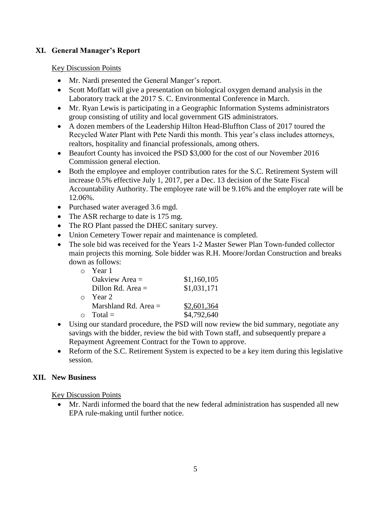### **XI. General Manager's Report**

#### Key Discussion Points

- Mr. Nardi presented the General Manger's report.
- Scott Moffatt will give a presentation on biological oxygen demand analysis in the Laboratory track at the 2017 S. C. Environmental Conference in March.
- Mr. Ryan Lewis is participating in a Geographic Information Systems administrators group consisting of utility and local government GIS administrators.
- A dozen members of the Leadership Hilton Head-Bluffton Class of 2017 toured the Recycled Water Plant with Pete Nardi this month. This year's class includes attorneys, realtors, hospitality and financial professionals, among others.
- Beaufort County has invoiced the PSD \$3,000 for the cost of our November 2016 Commission general election.
- Both the employee and employer contribution rates for the S.C. Retirement System will increase 0.5% effective July 1, 2017, per a Dec. 13 decision of the State Fiscal Accountability Authority. The employee rate will be 9.16% and the employer rate will be 12.06%.
- Purchased water averaged 3.6 mgd.
- The ASR recharge to date is 175 mg.
- The RO Plant passed the DHEC sanitary survey.
- Union Cemetery Tower repair and maintenance is completed.
- The sole bid was received for the Years 1-2 Master Sewer Plan Town-funded collector main projects this morning. Sole bidder was R.H. Moore/Jordan Construction and breaks down as follows:

| $\bigcap$ | Year 1                 |             |
|-----------|------------------------|-------------|
|           | Oakview Area $=$       | \$1,160,105 |
|           | Dillon Rd. Area $=$    | \$1,031,171 |
| $\cap$    | Year 2                 |             |
|           | Marshland Rd. Area $=$ | \$2,601,364 |
|           | $Total =$              | \$4,792,640 |

- Using our standard procedure, the PSD will now review the bid summary, negotiate any savings with the bidder, review the bid with Town staff, and subsequently prepare a Repayment Agreement Contract for the Town to approve.
- Reform of the S.C. Retirement System is expected to be a key item during this legislative session.

### **XII. New Business**

Key Discussion Points

 Mr. Nardi informed the board that the new federal administration has suspended all new EPA rule-making until further notice.